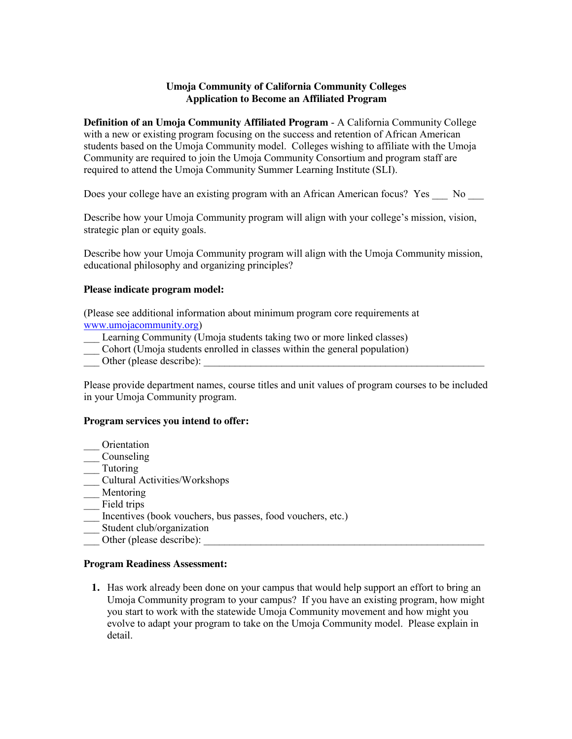## **Umoja Community of California Community Colleges Application to Become an Affiliated Program**

**Definition of an Umoja Community Affiliated Program** - A California Community College with a new or existing program focusing on the success and retention of African American students based on the Umoja Community model. Colleges wishing to affiliate with the Umoja Community are required to join the Umoja Community Consortium and program staff are required to attend the Umoja Community Summer Learning Institute (SLI).

Does your college have an existing program with an African American focus? Yes \_\_\_ No \_\_

Describe how your Umoja Community program will align with your college's mission, vision, strategic plan or equity goals.

Describe how your Umoja Community program will align with the Umoja Community mission, educational philosophy and organizing principles?

## **Please indicate program model:**

(Please see additional information about minimum program core requirements at www.umojacommunity.org)

- Learning Community (Umoja students taking two or more linked classes)
- \_\_\_ Cohort (Umoja students enrolled in classes within the general population)
- Other (please describe):

Please provide department names, course titles and unit values of program courses to be included in your Umoja Community program.

## **Program services you intend to offer:**

- \_\_\_ Orientation \_\_\_ Counseling
- \_\_\_ Tutoring
- 
- \_\_\_ Cultural Activities/Workshops
- \_\_\_ Mentoring
- \_\_\_ Field trips
- Incentives (book vouchers, bus passes, food vouchers, etc.)
- Student club/organization
- Other (please describe):

## **Program Readiness Assessment:**

**1.** Has work already been done on your campus that would help support an effort to bring an Umoja Community program to your campus? If you have an existing program, how might you start to work with the statewide Umoja Community movement and how might you evolve to adapt your program to take on the Umoja Community model. Please explain in detail.